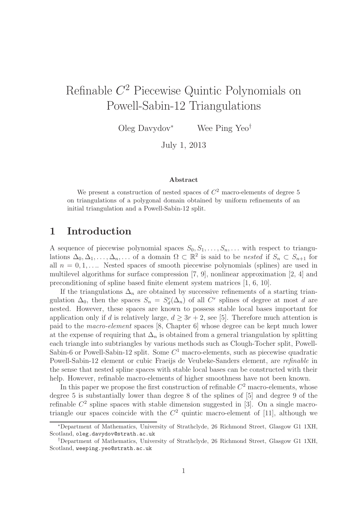# Refinable C <sup>2</sup> Piecewise Quintic Polynomials on Powell-Sabin-12 Triangulations

Oleg Davydov<sup>∗</sup> Wee Ping Yeo†

July 1, 2013

#### Abstract

We present a construction of nested spaces of  $C<sup>2</sup>$  macro-elements of degree 5 on triangulations of a polygonal domain obtained by uniform refinements of an initial triangulation and a Powell-Sabin-12 split.

### 1 Introduction

A sequence of piecewise polynomial spaces  $S_0, S_1, \ldots, S_n, \ldots$  with respect to triangulations  $\Delta_0, \Delta_1, \ldots, \Delta_n, \ldots$  of a domain  $\Omega \subset \mathbb{R}^2$  is said to be nested if  $S_n \subset S_{n+1}$  for all  $n = 0, 1, \ldots$  Nested spaces of smooth piecewise polynomials (splines) are used in multilevel algorithms for surface compression [7, 9], nonlinear approximation [2, 4] and preconditioning of spline based finite element system matrices [1, 6, 10].

If the triangulations  $\Delta_n$  are obtained by successive refinements of a starting triangulation  $\Delta_0$ , then the spaces  $S_n = S_d^r(\Delta_n)$  of all C<sup>r</sup> splines of degree at most d are nested. However, these spaces are known to possess stable local bases important for application only if d is relatively large,  $d \geq 3r + 2$ , see [5]. Therefore much attention is paid to the macro-element spaces [8, Chapter 6] whose degree can be kept much lower at the expense of requiring that  $\Delta_n$  is obtained from a general triangulation by splitting each triangle into subtriangles by various methods such as Clough-Tocher split, Powell-Sabin-6 or Powell-Sabin-12 split. Some  $C<sup>1</sup>$  macro-elements, such as piecewise quadratic Powell-Sabin-12 element or cubic Fraeijs de Veubeke-Sanders element, are refinable in the sense that nested spline spaces with stable local bases can be constructed with their help. However, refinable macro-elements of higher smoothness have not been known.

In this paper we propose the first construction of refinable  $C<sup>2</sup>$  macro-elements, whose degree 5 is substantially lower than degree 8 of the splines of [5] and degree 9 of the refinable  $C^2$  spline spaces with stable dimension suggested in [3]. On a single macrotriangle our spaces coincide with the  $C<sup>2</sup>$  quintic macro-element of [11], although we

<sup>∗</sup>Department of Mathematics, University of Strathclyde, 26 Richmond Street, Glasgow G1 1XH, Scotland, oleg.davydov@strath.ac.uk

<sup>†</sup>Department of Mathematics, University of Strathclyde, 26 Richmond Street, Glasgow G1 1XH, Scotland, weeping.yeo@strath.ac.uk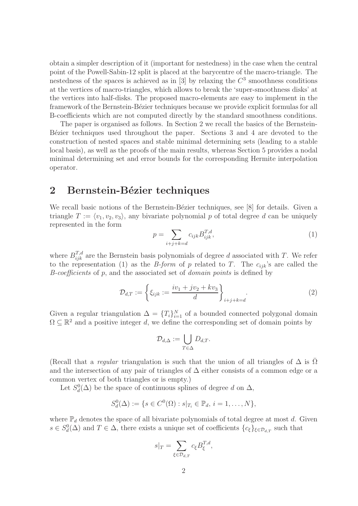obtain a simpler description of it (important for nestedness) in the case when the central point of the Powell-Sabin-12 split is placed at the barycentre of the macro-triangle. The nestedness of the spaces is achieved as in [3] by relaxing the  $C<sup>3</sup>$  smoothness conditions at the vertices of macro-triangles, which allows to break the 'super-smoothness disks' at the vertices into half-disks. The proposed macro-elements are easy to implement in the framework of the Bernstein-Bézier techniques because we provide explicit formulas for all B-coefficients which are not computed directly by the standard smoothness conditions.

The paper is organised as follows. In Section 2 we recall the basics of the Bernstein-Bézier techniques used throughout the paper. Sections 3 and 4 are devoted to the construction of nested spaces and stable minimal determining sets (leading to a stable local basis), as well as the proofs of the main results, whereas Section 5 provides a nodal minimal determining set and error bounds for the corresponding Hermite interpolation operator.

### 2 Bernstein-Bézier techniques

We recall basic notions of the Bernstein-Bézier techniques, see [8] for details. Given a triangle  $T := \langle v_1, v_2, v_3 \rangle$ , any bivariate polynomial p of total degree d can be uniquely represented in the form

$$
p = \sum_{i+j+k=d} c_{ijk} B_{ijk}^{T,d}, \tag{1}
$$

where  $B_{ijk}^{T,d}$  are the Bernstein basis polynomials of degree d associated with T. We refer to the representation (1) as the *B-form* of p related to T. The  $c_{ijk}$ 's are called the B-coefficients of p, and the associated set of domain points is defined by

$$
\mathcal{D}_{d,T} := \left\{ \xi_{ijk} := \frac{iv_1 + jv_2 + kv_3}{d} \right\}_{i+j+k=d}.
$$
\n(2)

Given a regular triangulation  $\Delta = \{T_i\}_{i=1}^N$  of a bounded connected polygonal domain  $\Omega \subseteq \mathbb{R}^2$  and a positive integer d, we define the corresponding set of domain points by

$$
\mathcal{D}_{d,\Delta} := \bigcup_{T \in \Delta} D_{d,T}.
$$

(Recall that a *regular* triangulation is such that the union of all triangles of  $\Delta$  is  $\Omega$ and the intersection of any pair of triangles of  $\Delta$  either consists of a common edge or a common vertex of both triangles or is empty.)

Let  $S_d^0(\Delta)$  be the space of continuous splines of degree d on  $\Delta$ ,

$$
S_d^0(\Delta) := \{ s \in C^0(\Omega) : s|_{T_i} \in \mathbb{P}_d, i = 1, ..., N \},\
$$

where  $\mathbb{P}_d$  denotes the space of all bivariate polynomials of total degree at most d. Given  $s \in S_d^0(\Delta)$  and  $T \in \Delta$ , there exists a unique set of coefficients  $\{c_{\xi}\}_{\xi \in \mathcal{D}_{d,T}}$  such that

$$
s|_T = \sum_{\xi \in \mathcal{D}_{d,T}} c_{\xi} B_{\xi}^{T,d},
$$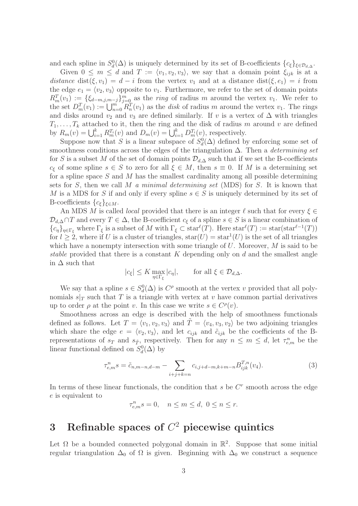and each spline in  $S_d^0(\Delta)$  is uniquely determined by its set of B-coefficients  $\{c_{\xi}\}_{\xi \in \mathcal{D}_{d,\Delta}}$ .

Given  $0 \leq m \leq d$  and  $T := \langle v_1, v_2, v_3 \rangle$ , we say that a domain point  $\xi_{ijk}$  is at a distance dist( $\xi, v_1$ ) = d – i from the vertex  $v_1$  and at a distance dist( $\xi, e_1$ ) = i from the edge  $e_1 = \langle v_2, v_3 \rangle$  opposite to  $v_1$ . Furthermore, we refer to the set of domain points  $R_m^T(v_1) := \{\xi_{d-m,j,m-j}\}_{j=0}^m$  as the *ring* of radius m around the vertex  $v_1$ . We refer to the set  $D_m^T(v_1) := \bigcup_{n=0}^{m} R_n^T(v_1)$  as the disk of radius m around the vertex  $v_1$ . The rings and disks around  $v_2$  and  $v_3$  are defined similarly. If v is a vertex of  $\Delta$  with triangles  $T_1, \ldots, T_k$  attached to it, then the ring and the disk of radius m around v are defined by  $R_m(v) = \bigcup_{i=1}^k R_m^{T_i}(v)$  and  $D_m(v) = \bigcup_{i=1}^k D_m^{T_i}(v)$ , respectively.

Suppose now that S is a linear subspace of  $S_d^0(\Delta)$  defined by enforcing some set of smoothness conditions across the edges of the triangulation  $\Delta$ . Then a *determining set* for S is a subset M of the set of domain points  $\mathcal{D}_{d,\Delta}$  such that if we set the B-coefficients  $c_{\xi}$  of some spline  $s \in S$  to zero for all  $\xi \in M$ , then  $s \equiv 0$ . If M is a determining set for a spline space  $S$  and  $M$  has the smallest cardinality among all possible determining sets for S, then we call M a minimal determining set (MDS) for S. It is known that M is a MDS for S if and only if every spline  $s \in S$  is uniquely determined by its set of B-coefficients  $\{c_{\xi}\}_{\xi \in M}$ .

An MDS M is called *local* provided that there is an integer  $\ell$  such that for every  $\xi \in$  $\mathcal{D}_{d,\Delta} \cap T$  and every  $T \in \Delta$ , the B-coefficient  $c_{\xi}$  of a spline  $s \in S$  is a linear combination of  $\{c_\eta\}_{\eta \in \Gamma_\xi}$  where  $\Gamma_\xi$  is a subset of M with  $\Gamma_\xi \subset \text{star}^{\ell}(T)$ . Here  $\text{star}^{\ell}(T) := \text{star}(\text{star}^{\ell-1}(T))$ for  $l \geq 2$ , where if U is a cluster of triangles,  $star(U) = star<sup>1</sup>(U)$  is the set of all triangles which have a nonempty intersection with some triangle of  $U$ . Moreover,  $M$  is said to be stable provided that there is a constant  $K$  depending only on  $d$  and the smallest angle in  $\Delta$  such that

$$
|c_{\xi}| \leq K \max_{\eta \in \Gamma_{\xi}} |c_{\eta}|, \quad \text{for all } \xi \in \mathcal{D}_{d,\Delta}.
$$

We say that a spline  $s \in S_d^0(\Delta)$  is  $C^{\rho}$  smooth at the vertex v provided that all polynomials  $s|_T$  such that T is a triangle with vertex at v have common partial derivatives up to order  $\rho$  at the point v. In this case we write  $s \in C^{\rho}(v)$ .

Smoothness across an edge is described with the help of smoothness functionals defined as follows. Let  $T = \langle v_1, v_2, v_3 \rangle$  and  $T = \langle v_4, v_3, v_2 \rangle$  be two adjoining triangles which share the edge  $e = \langle v_2, v_3 \rangle$ , and let  $c_{ijk}$  and  $\tilde{c}_{ijk}$  be the coefficients of the Brepresentations of  $s_T$  and  $s_{\tilde{T}}$ , respectively. Then for any  $n \leq m \leq d$ , let  $\tau_{e,m}^n$  be the linear functional defined on  $S_d^0(\Delta)$  by

$$
\tau_{e,m}^n s = \tilde{c}_{n,m-n,d-m} - \sum_{i+j+k=n} c_{i,j+d-m,k+m-n} B_{ijk}^{T,n}(v_4).
$$
 (3)

In terms of these linear functionals, the condition that  $s$  be  $C<sup>r</sup>$  smooth across the edge e is equivalent to

$$
\tau_{e,m}^n s = 0, \quad n \le m \le d, \ 0 \le n \le r.
$$

## 3 Refinable spaces of  $C^2$  piecewise quintics

Let  $\Omega$  be a bounded connected polygonal domain in  $\mathbb{R}^2$ . Suppose that some initial regular triangulation  $\Delta_0$  of  $\Omega$  is given. Beginning with  $\Delta_0$  we construct a sequence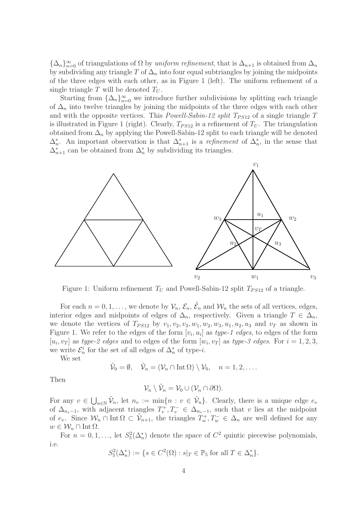${\{\Delta_n\}}_{n=0}^{\infty}$  of triangulations of  $\Omega$  by *uniform refinement*, that is  $\Delta_{n+1}$  is obtained from  $\Delta_n$ by subdividing any triangle T of  $\Delta_n$  into four equal subtriangles by joining the midpoints of the three edges with each other, as in Figure 1 (left). The uniform refinement of a single triangle T will be denoted  $T_U$ .

Starting from  $\{\Delta_n\}_{n=0}^{\infty}$  we introduce further subdivisions by splitting each triangle of  $\Delta_n$  into twelve triangles by joining the midpoints of the three edges with each other and with the opposite vertices. This *Powell-Sabin-12 split*  $T_{PS12}$  of a single triangle T is illustrated in Figure 1 (right). Clearly,  $T_{PS12}$  is a refinement of  $T_U$ . The triangulation obtained from  $\Delta_n$  by applying the Powell-Sabin-12 split to each triangle will be denoted  $\Delta_n^*$ . An important observation is that  $\Delta_{n+1}^*$  is a *refinement* of  $\Delta_n^*$ , in the sense that  $\Delta_{n+1}^*$  can be obtained from  $\Delta_n^*$  by subdividing its triangles.



Figure 1: Uniform refinement  $T_U$  and Powell-Sabin-12 split  $T_{PS12}$  of a triangle.

For each  $n = 0, 1, \ldots$ , we denote by  $\mathcal{V}_n$ ,  $\mathcal{E}_n$ ,  $\tilde{\mathcal{E}}_n$  and  $\mathcal{W}_n$  the sets of all vertices, edges, interior edges and midpoints of edges of  $\Delta_n$ , respectively. Given a triangle  $T \in \Delta_n$ , we denote the vertices of  $T_{PS12}$  by  $v_1, v_2, v_3, w_1, w_2, w_3, u_1, u_2, u_3$  and  $v_T$  as shown in Figure 1. We refer to the edges of the form  $[v_i, u_i]$  as type-1 edges, to edges of the form  $[u_i, v_T]$  as type-2 edges and to edges of the form  $[w_i, v_T]$  as type-3 edges. For  $i = 1, 2, 3$ , we write  $\mathcal{E}_n^i$  for the set of all edges of  $\Delta_n^*$  of type-*i*.

We set

$$
\tilde{\mathcal{V}}_0 = \emptyset, \quad \tilde{\mathcal{V}}_n = (\mathcal{V}_n \cap \text{Int } \Omega) \setminus \mathcal{V}_0, \quad n = 1, 2, \dots
$$

Then

$$
\mathcal{V}_n \setminus \tilde{\mathcal{V}}_n = \mathcal{V}_0 \cup (\mathcal{V}_n \cap \partial \Omega).
$$

For any  $v \in \bigcup_{n\in\mathbb{N}} \tilde{\mathcal{V}}_n$ , let  $n_v := \min\{n : v \in \tilde{\mathcal{V}}_n\}$ . Clearly, there is a unique edge  $e_v$ of  $\Delta_{n_v-1}$ , with adjacent triangles  $T_v^+, T_v^- \in \Delta_{n_v-1}$ , such that v lies at the midpoint of  $e_v$ . Since  $\mathcal{W}_n \cap \text{Int } \Omega \subset \tilde{\mathcal{V}}_{n+1}$ , the triangles  $T_w^+, T_w^- \in \Delta_n$  are well defined for any  $w \in \mathcal{W}_n \cap \text{Int } \Omega$ .

For  $n = 0, 1, \ldots$ , let  $S_5^2(\Delta_n^*)$  denote the space of  $C^2$  quintic piecewise polynomials, i.e.

$$
S_5^2(\Delta_n^*) := \{ s \in C^2(\Omega) : s|_T \in \mathbb{P}_5 \text{ for all } T \in \Delta_n^* \}.
$$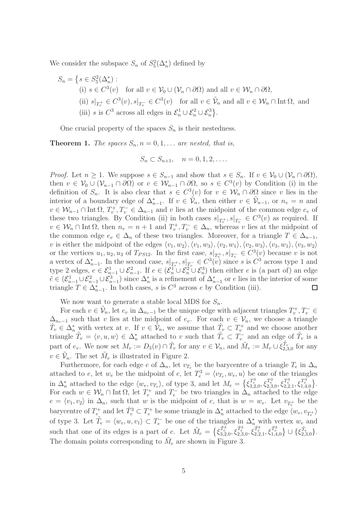We consider the subspace  $S_n$  of  $S_5^2(\Delta_n^*)$  defined by

$$
S_n = \left\{ s \in S_5^2(\Delta_n^*) : \right\}
$$
\n(i)  $s \in C^3(v)$  for all  $v \in V_0 \cup (V_n \cap \partial \Omega)$  and all  $v \in W_n \cap \partial \Omega$ ,\n  
\n(ii)  $s|_{T_v^+} \in C^3(v), s|_{T_v^-} \in C^3(v)$  for all  $v \in \tilde{V}_n$  and all  $v \in W_n \cap \text{Int } \Omega$ , and\n  
\n(iii)  $s$  is  $C^3$  across all edges in  $\mathcal{E}_n^1 \cup \mathcal{E}_n^2 \cup \mathcal{E}_n^3$ .

One crucial property of the spaces  $S_n$  is their nestedness.

**Theorem 1.** The spaces  $S_n$ ,  $n = 0, 1, \ldots$  are nested, that is,

$$
S_n \subset S_{n+1}, \quad n = 0, 1, 2, \dots
$$

*Proof.* Let  $n \geq 1$ . We suppose  $s \in S_{n-1}$  and show that  $s \in S_n$ . If  $v \in V_0 \cup (\mathcal{V}_n \cap \partial \Omega)$ , then  $v \in V_0 \cup (V_{n-1} \cap \partial \Omega)$  or  $v \in W_{n-1} \cap \partial \Omega$ , so  $s \in C^3(v)$  by Condition (i) in the definition of  $S_n$ . It is also clear that  $s \in C^3(v)$  for  $v \in \mathcal{W}_n \cap \partial\Omega$  since v lies in the interior of a boundary edge of  $\Delta_{n-1}^*$ . If  $v \in \tilde{\mathcal{V}}_n$ , then either  $v \in \tilde{\mathcal{V}}_{n-1}$ , or  $n_v = n$  and  $v \in \mathcal{W}_{n-1} \cap \text{Int } \Omega$ ,  $T_v^+, T_v^- \in \Delta_{n-1}$  and v lies at the midpoint of the common edge  $e_v$  of these two triangles. By Condition (ii) in both cases  $s|_{T_v^+}, s|_{T_v^-} \in C^3(v)$  as required. If  $v \in \mathcal{W}_n \cap \text{Int } \Omega$ , then  $n_v = n + 1$  and  $T_v^+, T_v^- \in \Delta_n$ , whereas v lies at the midpoint of the common edge  $e_v \in \Delta_n$  of these two triangles. Moreover, for a triangle  $T \in \Delta_{n-1}$ , v is either the midpoint of the edges  $\langle v_1, w_2 \rangle, \langle v_1, w_3 \rangle, \langle v_2, w_1 \rangle, \langle v_2, w_3 \rangle, \langle v_3, w_1 \rangle, \langle v_3, w_2 \rangle$ or the vertices  $u_1, u_2, u_3$  of  $T_{PS12}$ . In the first case,  $s|_{T_v^+}, s|_{T_v^-} \in C^3(v)$  because v is not a vertex of  $\Delta_{n-1}^*$ . In the second case,  $s|_{T_v^+}$ ,  $s|_{T_v^-} \in C^3(v)$  since s is  $C^3$  across type 1 and type 2 edges,  $e \in \mathcal{E}_{n-1}^1 \cup \mathcal{E}_{n-1}^2$ . If  $e \in (\mathcal{E}_n^1 \cup \mathcal{E}_n^2 \cup \mathcal{E}_n^3)$  then either e is (a part of) an edge  $\tilde{e} \in (\mathcal{E}_{n-1}^1 \cup \mathcal{E}_{n-1}^2 \cup \mathcal{E}_{n-1}^3)$  since  $\Delta_n^*$  is a refinement of  $\Delta_{n-1}^*$  or  $e$  lies in the interior of some triangle  $T \in \Delta_{n-1}^*$ . In both cases, s is  $C^3$  across e by Condition (iii).  $\Box$ 

We now want to generate a stable local MDS for  $S_n$ .

For each  $v \in \tilde{\mathcal{V}}_n$ , let  $e_v$  in  $\Delta_{n_v-1}$  be the unique edge with adjacent triangles  $T_v^+, T_v^- \in$  $\Delta_{n_v-1}$  such that v lies at the midpoint of  $e_v$ . For each  $v \in V_n$ , we choose a triangle  $\hat{T}_v \in \Delta_n^*$  with vertex at v. If  $v \in \tilde{V}_n$ , we assume that  $\hat{T}_v \subset T_v^+$  and we choose another triangle  $\tilde{T}_v = \langle v, u, w \rangle \in \Delta_n^*$  attached to v such that  $\tilde{T}_v \subset T_v^-$  and an edge of  $\tilde{T}_v$  is a part of  $e_v$ . We now set  $M_v := D_3(v) \cap \hat{T}_v$  for any  $v \in \mathcal{V}_n$ , and  $\tilde{M}_v := M_v \cup \xi_{2,3,0}^{\tilde{T}_v}$  for any  $v \in \tilde{\mathcal{V}}_n$ . The set  $\tilde{M}_v$  is illustrated in Figure 2.

Furthermore, for each edge e of  $\Delta_n$ , let  $v_{T_e}$  be the barycentre of a triangle  $T_e$  in  $\Delta_n$ attached to e, let  $w_e$  be the midpoint of e, let  $T_e^3 = \langle v_{T_e}, w_e, u \rangle$  be one of the triangles in  $\Delta_n^*$  attached to the edge  $\langle w_e, v_{T_e} \rangle$ , of type 3, and let  $M_e = \{ \xi_{3,2,0}^{T_e^3}, \xi_{2,3,0}^{T_e^3}, \xi_{2,2,1}^{T_e^3}, \xi_{1,4,0}^{T_e^3} \}.$ For each  $w \in \mathcal{W}_n \cap \text{Int } \Omega$ , let  $T_e^+$  and  $T_e^-$  be two triangles in  $\Delta_n$  attached to the edge  $e = \langle v_1, v_2 \rangle$  in  $\Delta_n$ , such that w is the midpoint of e, that is  $w = w_e$ . Let  $v_{T_e^+}$  be the barycentre of  $T_e^+$  and let  $\hat{T}_e^3 \subset T_e^+$  be some triangle in  $\Delta_n^*$  attached to the edge  $\langle w_e, v_{T_e^+} \rangle$ of type 3. Let  $\tilde{T}_e = \langle w_e, u, v_1 \rangle \subset T_e^-$  be one of the triangles in  $\Delta_n^*$  with vertex  $w_e$  and such that one of its edges is a part of e. Let  $\tilde{M}_e = \{\xi_{3,2,0}^{\hat{T}_e^3}, \xi_{2,3,0}^{\hat{T}_e^3}, \xi_{2,2,1}^{\hat{T}_e^3}, \xi_{1,4,0}^{\hat{T}_e^3}\} \cup \{\xi_{2,3,0}^{\tilde{T}_e}\}.$ The domain points corresponding to  $\tilde{M}_e$  are shown in Figure 3.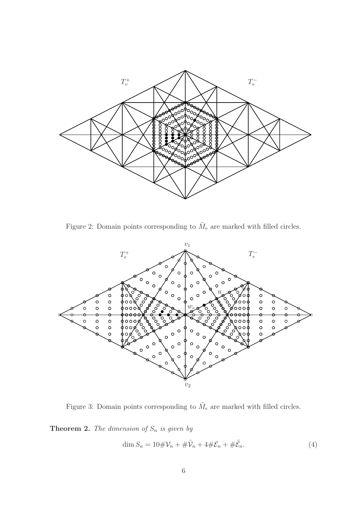

Figure 2: Domain points corresponding to  $\tilde{M}_v$  are marked with filled circles.



Figure 3: Domain points corresponding to  $\tilde{M}_e$  are marked with filled circles.

**Theorem 2.** The dimension of  $S_n$  is given by

$$
\dim S_n = 10 \# \mathcal{V}_n + \# \tilde{\mathcal{V}}_n + 4 \# \mathcal{E}_n + \# \tilde{\mathcal{E}}_n. \tag{4}
$$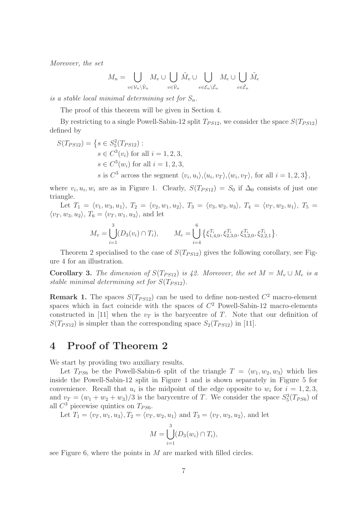Moreover, the set

$$
M_n = \bigcup_{v \in \mathcal{V}_n \setminus \tilde{\mathcal{V}}_n} M_v \cup \bigcup_{v \in \tilde{\mathcal{V}}_n} \tilde{M}_v \cup \bigcup_{e \in \mathcal{E}_n \setminus \tilde{\mathcal{E}}_n} M_e \cup \bigcup_{e \in \tilde{\mathcal{E}}_n} \tilde{M}_e
$$

is a stable local minimal determining set for  $S_n$ .

The proof of this theorem will be given in Section 4.

By restricting to a single Powell-Sabin-12 split  $T_{PS12}$ , we consider the space  $S(T_{PS12})$ defined by

$$
S(T_{PS12}) = \{ s \in S_5^2(T_{PS12}) :
$$
  
\n
$$
s \in C^3(v_i) \text{ for all } i = 1, 2, 3,
$$
  
\n
$$
s \in C^3(w_i) \text{ for all } i = 1, 2, 3,
$$
  
\n
$$
s \text{ is } C^3 \text{ across the segment } \langle v_i, u_i \rangle, \langle u_i, v_T \rangle, \langle w_i, v_T \rangle, \text{ for all } i = 1, 2, 3 \},
$$

where  $v_i, u_i, w_i$  are as in Figure 1. Clearly,  $S(T_{PS12}) = S_0$  if  $\Delta_0$  consists of just one triangle.

Let  $T_1 = \langle v_1, w_3, u_1 \rangle$ ,  $T_2 = \langle v_2, w_1, u_2 \rangle$ ,  $T_3 = \langle v_3, w_2, u_3 \rangle$ ,  $T_4 = \langle v_T, w_2, u_1 \rangle$ ,  $T_5 =$  $\langle v_T, w_3, u_2 \rangle, T_6 = \langle v_T, w_1, u_3 \rangle$ , and let

$$
M_v = \bigcup_{i=1}^3 (D_3(v_i) \cap T_i), \qquad M_e = \bigcup_{i=4}^6 \left\{ \xi_{1,4,0}^{T_i}, \xi_{2,3,0}^{T_i}, \xi_{3,2,0}^{T_i}, \xi_{2,2,1}^{T_i} \right\}.
$$

Theorem 2 specialised to the case of  $S(T_{PS12})$  gives the following corollary, see Figure 4 for an illustration.

Corollary 3. The dimension of  $S(T_{PS12})$  is 42. Moreover, the set  $M = M_v \cup M_e$  is a stable minimal determining set for  $S(T_{PS12})$ .

**Remark 1.** The spaces  $S(T_{PS12})$  can be used to define non-nested  $C^2$  macro-element spaces which in fact coincide with the spaces of  $C<sup>2</sup>$  Powell-Sabin-12 macro-elements constructed in [11] when the  $v_T$  is the barycentre of T. Note that our definition of  $S(T_{PS12})$  is simpler than the corresponding space  $S_2(T_{PS12})$  in [11].

### 4 Proof of Theorem 2

We start by providing two auxiliary results.

Let  $T_{PS6}$  be the Powell-Sabin-6 split of the triangle  $T = \langle w_1, w_2, w_3 \rangle$  which lies inside the Powell-Sabin-12 split in Figure 1 and is shown separately in Figure 5 for convenience. Recall that  $u_i$  is the midpoint of the edge opposite to  $w_i$  for  $i = 1, 2, 3$ , and  $v_T = (w_1 + w_2 + w_3)/3$  is the barycentre of T. We consider the space  $S_5^3(T_{PS6})$  of all  $C^3$  piecewise quintics on  $T_{PS6}$ .

Let  $T_1 = \langle v_T , w_1 , u_3 \rangle, T_2 = \langle v_T , w_2 , u_1 \rangle$  and  $T_3 = \langle v_T , w_3 , u_2 \rangle$ , and let

$$
M = \bigcup_{i=1}^3 (D_3(w_i) \cap T_i),
$$

see Figure 6, where the points in  $M$  are marked with filled circles.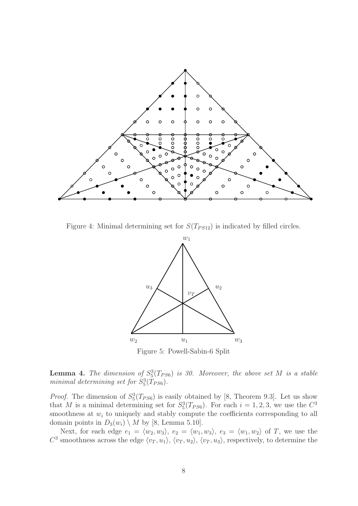

Figure 4: Minimal determining set for  $S(T_{PS12})$  is indicated by filled circles.



**Lemma 4.** The dimension of  $S_5^3(T_{PS6})$  is 30. Moreover, the above set M is a stable minimal determining set for  $S_5^3(T_{PS6})$ .

*Proof.* The dimension of  $S_5^3(T_{PS6})$  is easily obtained by [8, Theorem 9.3]. Let us show that M is a minimal determining set for  $S_5^3(T_{PS6})$ . For each  $i = 1, 2, 3$ , we use the  $C^3$ smoothness at  $w_i$  to uniquely and stably compute the coefficients corresponding to all domain points in  $D_3(w_i) \setminus M$  by [8, Lemma 5.10].

Next, for each edge  $e_1 = \langle w_2, w_3 \rangle$ ,  $e_2 = \langle w_1, w_3 \rangle$ ,  $e_3 = \langle w_1, w_2 \rangle$  of T, we use the  $C^3$  smoothness across the edge  $\langle v_T, u_1 \rangle, \langle v_T, u_2 \rangle, \langle v_T, u_3 \rangle$ , respectively, to determine the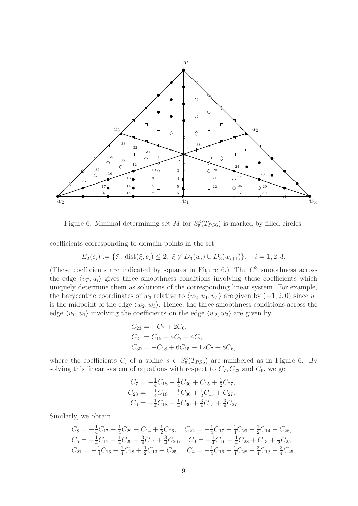

Figure 6: Minimal determining set M for  $S_5^3(T_{PS6})$  is marked by filled circles.

coefficients corresponding to domain points in the set

$$
E_2(e_i) := \{ \xi : \text{dist}(\xi, e_i) \le 2, \ \xi \notin D_3(w_i) \cup D_3(w_{i+1}) \}, \quad i = 1, 2, 3.
$$

(These coefficients are indicated by squares in Figure 6.) The  $C<sup>3</sup>$  smoothness across the edge  $\langle v_T , u_i \rangle$  gives three smoothness conditions involving these coefficients which uniquely determine them as solutions of the corresponding linear system. For example, the barycentric coordinates of  $w_3$  relative to  $\langle w_2, u_1, v_T \rangle$  are given by  $(-1, 2, 0)$  since  $u_1$ is the midpoint of the edge  $\langle w_2, w_3 \rangle$ . Hence, the three smoothness conditions across the edge  $\langle v_T , u_1 \rangle$  involving the coefficients on the edge  $\langle w_2 , w_3 \rangle$  are given by

$$
C_{23} = -C_7 + 2C_6,
$$
  
\n
$$
C_{27} = C_{15} - 4C_7 + 4C_6,
$$
  
\n
$$
C_{30} = -C_{18} + 6C_{15} - 12C_7 + 8C_6,
$$

where the coefficients  $C_i$  of a spline  $s \in S_5^3(T_{PS6})$  are numbered as in Figure 6. By solving this linear system of equations with respect to  $C_7, C_{23}$  and  $C_6$ , we get

$$
C_7 = -\frac{1}{4}C_{18} - \frac{1}{4}C_{30} + C_{15} + \frac{1}{2}C_{27},
$$
  
\n
$$
C_{23} = -\frac{1}{4}C_{18} - \frac{1}{4}C_{30} + \frac{1}{2}C_{15} + C_{27},
$$
  
\n
$$
C_6 = -\frac{1}{4}C_{18} - \frac{1}{4}C_{30} + \frac{3}{4}C_{15} + \frac{3}{4}C_{27}.
$$

Similarly, we obtain

$$
C_8 = -\frac{1}{4}C_{17} - \frac{1}{4}C_{29} + C_{14} + \frac{1}{2}C_{26}, \quad C_{22} = -\frac{1}{4}C_{17} - \frac{1}{4}C_{29} + \frac{1}{2}C_{14} + C_{26},
$$
  
\n
$$
C_5 = -\frac{1}{4}C_{17} - \frac{1}{4}C_{29} + \frac{3}{4}C_{14} + \frac{3}{4}C_{26}, \quad C_9 = -\frac{1}{4}C_{16} - \frac{1}{4}C_{28} + C_{13} + \frac{1}{2}C_{25},
$$
  
\n
$$
C_{21} = -\frac{1}{4}C_{16} - \frac{1}{4}C_{28} + \frac{1}{2}C_{13} + C_{25}, \quad C_4 = -\frac{1}{4}C_{16} - \frac{1}{4}C_{28} + \frac{3}{4}C_{13} + \frac{3}{4}C_{25}.
$$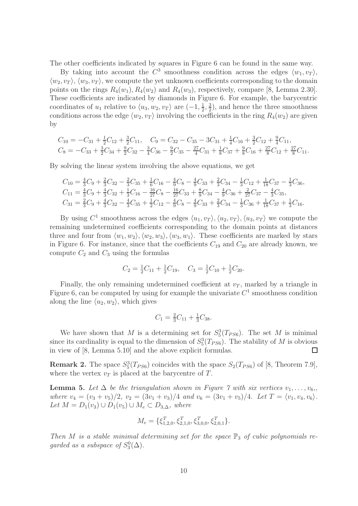The other coefficients indicated by squares in Figure 6 can be found in the same way.

By taking into account the  $C^3$  smoothness condition across the edges  $\langle w_1, v_T \rangle$ ,  $\langle w_2, v_T \rangle$ ,  $\langle w_3, v_T \rangle$ , we compute the yet unknown coefficients corresponding to the domain points on the rings  $R_4(w_1), R_4(w_2)$  and  $R_4(w_3)$ , respectively, compare [8, Lemma 2.30]. These coefficients are indicated by diamonds in Figure 6. For example, the barycentric coordinates of  $u_1$  relative to  $\langle u_3, w_2, v_T \rangle$  are  $(-1, \frac{1}{2})$  $\frac{1}{2}, \frac{3}{2}$  $\frac{3}{2}$ , and hence the three smoothness conditions across the edge  $\langle w_2, v_T \rangle$  involving the coefficients in the ring  $R_4(w_2)$  are given by

$$
C_{10} = -C_{31} + \frac{1}{2}C_{12} + \frac{3}{2}C_{11}, \quad C_{9} = C_{32} - C_{35} - 3C_{31} + \frac{1}{4}C_{16} + \frac{3}{2}C_{12} + \frac{9}{4}C_{11},
$$
  
\n
$$
C_{8} = -C_{33} + \frac{3}{2}C_{34} + \frac{9}{2}C_{32} - \frac{3}{4}C_{36} - \frac{9}{2}C_{35} - \frac{27}{4}C_{31} + \frac{1}{8}C_{37} + \frac{9}{8}C_{16} + \frac{27}{8}C_{12} + \frac{27}{8}C_{11}.
$$

By solving the linear system involving the above equations, we get

$$
C_{10} = \frac{4}{3}C_9 + \frac{2}{3}C_{32} - \frac{2}{3}C_{35} + \frac{1}{6}C_{16} - \frac{4}{9}C_8 - \frac{4}{9}C_{33} + \frac{2}{3}C_{34} - \frac{1}{3}C_{12} + \frac{1}{18}C_{37} - \frac{1}{3}C_{36},
$$
  
\n
$$
C_{11} = \frac{4}{3}C_9 + \frac{4}{3}C_{32} + \frac{1}{3}C_{16} - \frac{16}{27}C_8 - \frac{16}{27}C_{33} + \frac{8}{9}C_{34} - \frac{4}{9}C_{36} + \frac{2}{27}C_{37} - \frac{4}{3}C_{35},
$$
  
\n
$$
C_{31} = \frac{2}{3}C_9 + \frac{4}{3}C_{32} - \frac{4}{3}C_{35} + \frac{1}{2}C_{12} - \frac{4}{9}C_8 - \frac{4}{9}C_{33} + \frac{2}{3}C_{34} - \frac{1}{3}C_{36} + \frac{1}{18}C_{37} + \frac{1}{3}C_{16}.
$$

By using  $C^1$  smoothness across the edges  $\langle u_1, v_T \rangle, \langle u_2, v_T \rangle, \langle u_3, v_T \rangle$  we compute the remaining undetermined coefficients corresponding to the domain points at distances three and four from  $\langle w_1, w_2 \rangle, \langle w_2, w_3 \rangle, \langle w_3, w_1 \rangle$ . These coefficients are marked by stars in Figure 6. For instance, since that the coefficients  $C_{19}$  and  $C_{20}$  are already known, we compute  $C_2$  and  $C_3$  using the formulas

$$
C_2 = \frac{1}{2}C_{11} + \frac{1}{2}C_{19}, \quad C_3 = \frac{1}{2}C_{10} + \frac{1}{2}C_{20}.
$$

Finally, the only remaining undetermined coefficient at  $v_T$ , marked by a triangle in Figure 6, can be computed by using for example the univariate  $C<sup>1</sup>$  smoothness condition along the line  $\langle u_2, w_2 \rangle$ , which gives

$$
C_1 = \frac{2}{3}C_{11} + \frac{1}{3}C_{38}.
$$

We have shown that M is a determining set for  $S_5^3(T_{PS6})$ . The set M is minimal since its cardinality is equal to the dimension of  $S_5^3(T_{PS6})$ . The stability of M is obvious in view of [8, Lemma 5.10] and the above explicit formulas.  $\Box$ 

**Remark 2.** The space  $S_5^3(T_{PS6})$  coincides with the space  $S_2(T_{PS6})$  of [8, Theorem 7.9], where the vertex  $v_T$  is placed at the barycentre of T.

**Lemma 5.** Let  $\Delta$  be the triangulation shown in Figure 7 with six vertices  $v_1, \ldots, v_6$ , where  $v_4 = (v_3 + v_5)/2$ ,  $v_2 = (3v_1 + v_3)/4$  and  $v_6 = (3v_1 + v_5)/4$ . Let  $T = \langle v_1, v_4, v_6 \rangle$ . Let  $M = D_1(v_3) \cup D_1(v_5) \cup M_e \subset D_{3,\Delta}$ , where

$$
M_e = \{ \xi_{1,2,0}^T, \xi_{2,1,0}^T, \xi_{3,0,0}^T, \xi_{2,0,1}^T \}.
$$

Then M is a stable minimal determining set for the space  $\mathbb{P}_3$  of cubic polynomials regarded as a subspace of  $S_3^0(\Delta)$ .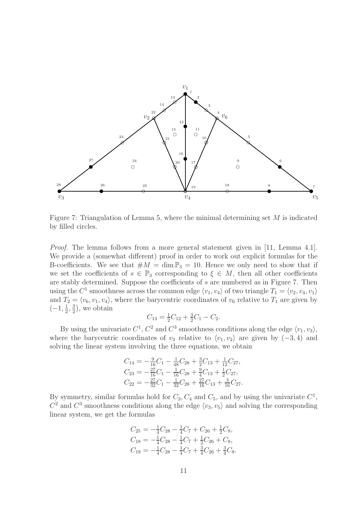

Figure 7: Triangulation of Lemma 5, where the minimal determining set  $M$  is indicated by filled circles.

*Proof.* The lemma follows from a more general statement given in [11, Lemma 4.1]. We provide a (somewhat different) proof in order to work out explicit formulas for the B-coefficients. We see that  $\#M = \dim \mathbb{P}_3 = 10$ . Hence we only need to show that if we set the coefficients of  $s \in \mathbb{P}_3$  corresponding to  $\xi \in M$ , then all other coefficients are stably determined. Suppose the coefficients of s are numbered as in Figure 7. Then using the  $C^1$  smoothness across the common edge  $\langle v_1, v_4 \rangle$  of two triangle  $T_1 = \langle v_2, v_4, v_1 \rangle$ and  $T_2 = \langle v_6, v_1, v_4 \rangle$ , where the barycentric coordinates of  $v_6$  relative to  $T_1$  are given by  $(-1, \frac{1}{2})$  $\frac{1}{2}$ ,  $\frac{3}{2}$  $(\frac{3}{2})$ , we obtain

$$
C_{13} = \frac{1}{2}C_{12} + \frac{3}{2}C_1 - C_2.
$$

By using the univariate  $C^1$ ,  $C^2$  and  $C^3$  smoothness conditions along the edge  $\langle v_1, v_3 \rangle$ , where the barycentric coordinates of  $v_3$  relative to  $\langle v_1, v_2 \rangle$  are given by  $(-3, 4)$  and solving the linear system involving the three equations, we obtain

$$
C_{14} = -\frac{9}{16}C_1 - \frac{1}{48}C_{28} + \frac{3}{2}C_{13} + \frac{1}{12}C_{27},
$$
  
\n
$$
C_{23} = -\frac{27}{16}C_1 - \frac{1}{16}C_{28} + \frac{9}{4}C_{13} + \frac{1}{2}C_{27},
$$
  
\n
$$
C_{22} = -\frac{27}{32}C_1 - \frac{1}{32}C_{28} + \frac{27}{16}C_{13} + \frac{3}{16}C_{27}.
$$

By symmetry, similar formulas hold for  $C_3, C_4$  and  $C_5$ , and by using the univariate  $C^1$ ,  $C^2$  and  $C^3$  smoothness conditions along the edge  $\langle v_3, v_5 \rangle$  and solving the corresponding linear system, we get the formulas

$$
C_{25} = -\frac{1}{4}C_{28} - \frac{1}{4}C_7 + C_{26} + \frac{1}{2}C_8,
$$
  
\n
$$
C_{18} = -\frac{1}{4}C_{28} - \frac{1}{4}C_7 + \frac{1}{2}C_{26} + C_8,
$$
  
\n
$$
C_{19} = -\frac{1}{4}C_{28} - \frac{1}{4}C_7 + \frac{3}{4}C_{26} + \frac{3}{4}C_8.
$$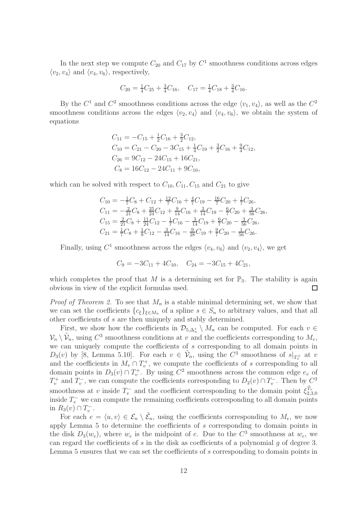In the next step we compute  $C_{20}$  and  $C_{17}$  by  $C^1$  smoothness conditions across edges  $\langle v_2, v_4 \rangle$  and  $\langle v_4, v_6 \rangle$ , respectively,

$$
C_{20} = \frac{1}{4}C_{25} + \frac{3}{4}C_{16}, \quad C_{17} = \frac{1}{4}C_{18} + \frac{3}{4}C_{16}.
$$

By the  $C^1$  and  $C^2$  smoothness conditions across the edge  $\langle v_1, v_4 \rangle$ , as well as the  $C^2$ smoothness conditions across the edges  $\langle v_2, v_4 \rangle$  and  $\langle v_4, v_6 \rangle$ , we obtain the system of equations

$$
C_{11} = -C_{15} + \frac{1}{2}C_{16} + \frac{3}{2}C_{12},
$$
  
\n
$$
C_{10} = C_{21} - C_{20} - 3C_{15} + \frac{1}{4}C_{19} + \frac{3}{2}C_{16} + \frac{9}{4}C_{12},
$$
  
\n
$$
C_{26} = 9C_{12} - 24C_{15} + 16C_{21},
$$
  
\n
$$
C_8 = 16C_{12} - 24C_{11} + 9C_{10},
$$

which can be solved with respect to  $C_{10}$ ,  $C_{11}$ ,  $C_{15}$  and  $C_{21}$  to give

$$
C_{10} = -\frac{1}{7}C_8 + C_{12} + \frac{12}{7}C_{16} + \frac{4}{7}C_{19} - \frac{16}{7}C_{20} + \frac{1}{7}C_{26},
$$
  
\n
$$
C_{11} = -\frac{2}{21}C_8 + \frac{25}{24}C_{12} + \frac{9}{14}C_{16} + \frac{3}{14}C_{19} - \frac{6}{7}C_{20} + \frac{3}{56}C_{26},
$$
  
\n
$$
C_{15} = \frac{2}{21}C_8 + \frac{11}{24}C_{12} - \frac{1}{7}C_{16} - \frac{3}{14}C_{19} + \frac{6}{7}C_{20} - \frac{3}{56}C_{26},
$$
  
\n
$$
C_{21} = \frac{1}{7}C_8 + \frac{1}{8}C_{12} - \frac{3}{14}C_{16} - \frac{9}{28}C_{19} + \frac{9}{7}C_{20} - \frac{1}{56}C_{26}.
$$

Finally, using  $C^1$  smoothness across the edges  $\langle v_4, v_6 \rangle$  and  $\langle v_2, v_4 \rangle$ , we get

$$
C_9 = -3C_{11} + 4C_{10}, \quad C_{24} = -3C_{15} + 4C_{21},
$$

which completes the proof that M is a determining set for  $\mathbb{P}_3$ . The stability is again obvious in view of the explicit formulas used.  $\Box$ 

*Proof of Theorem 2.* To see that  $M_n$  is a stable minimal determining set, we show that we can set the coefficients  ${c_{\xi}}_{\xi \in M_n}$  of a spline  $s \in S_n$  to arbitrary values, and that all other coefficients of s are then uniquely and stably determined.

First, we show how the coefficients in  $\mathcal{D}_{5,\Delta_n^*} \setminus M_n$  can be computed. For each  $v \in$  $\mathcal{V}_n \setminus \tilde{\mathcal{V}}_n$ , using  $C^3$  smoothness conditions at v and the coefficients corresponding to  $M_v$ , we can uniquely compute the coefficients of s corresponding to all domain points in  $D_3(v)$  by [8, Lemma 5.10]. For each  $v \in \tilde{\mathcal{V}}_n$ , using the  $C^3$  smoothness of  $s|_{T_v^+}$  at v and the coefficients in  $M_v \cap T_v^+$ , we compute the coefficients of s corresponding to all domain points in  $D_3(v) \cap T_v^+$ . By using  $C^2$  smoothness across the common edge  $e_v$  of  $T_v^+$  and  $T_v^-$ , we can compute the coefficients corresponding to  $D_2(v) \cap T_v^-$ . Then by  $C^3$ smoothness at v inside  $T_v^-$  and the coefficient corresponding to the domain point  $\xi_{2,3,0}^{\tilde{T}_v}$ inside  $T_v^-$  we can compute the remaining coefficients corresponding to all domain points in  $R_3(v) \cap T_v^-$ .

For each  $e = \langle u, v \rangle \in \mathcal{E}_n \setminus \tilde{\mathcal{E}}_n$ , using the coefficients corresponding to  $M_e$ , we now apply Lemma 5 to determine the coefficients of s corresponding to domain points in the disk  $D_3(w_e)$ , where  $w_e$  is the midpoint of e. Due to the  $C^3$  smoothness at  $w_e$ , we can regard the coefficients of s in the disk as coefficients of a polynomial g of degree 3. Lemma 5 ensures that we can set the coefficients of s corresponding to domain points in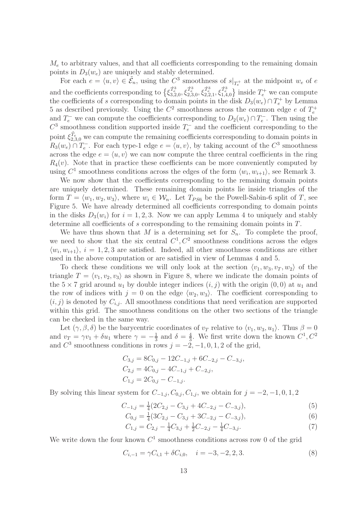$M_e$  to arbitrary values, and that all coefficients corresponding to the remaining domain points in  $D_3(w_e)$  are uniquely and stably determined.

For each  $e = \langle u, v \rangle \in \tilde{E}_n$ , using the  $C^3$  smoothness of  $s|_{T_e^+}$  at the midpoint  $w_e$  of  $e$ e and the coefficients corresponding to  $\{\xi_{3,2,0}^{\hat{T}_e^3}, \xi_{2,3,0}^{\hat{T}_e^3}, \xi_{2,2,1}^{\hat{T}_e^3}, \xi_{1,4,0}^{\hat{T}_e^3}\}$  inside  $T_e^+$  we can compute the coefficients of s corresponding to domain points in the disk  $D_3(w_e) \cap T_e^+$  by Lemma 5 as described previously. Using the  $C^2$  smoothness across the common edge e of  $T_e^+$ and  $T_e^-$  we can compute the coefficients corresponding to  $D_2(w_e) \cap T_e^-$ . Then using the  $C^3$  smoothness condition supported inside  $T_e^-$  and the coefficient corresponding to the point  $\xi_{2,3,0}^{\tilde{T}_e}$  we can compute the remaining coefficients corresponding to domain points in  $R_3(w_e) \cap T_e^-$ . For each type-1 edge  $e = \langle u, v \rangle$ , by taking account of the  $C^3$  smoothness across the edge  $e = \langle u, v \rangle$  we can now compute the three central coefficients in the ring  $R_4(v)$ . Note that in practice these coefficients can be more conveniently computed by using  $C^1$  smoothness conditions across the edges of the form  $\langle w_i, w_{i+1} \rangle$ , see Remark 3.

We now show that the coefficients corresponding to the remaining domain points are uniquely determined. These remaining domain points lie inside triangles of the form  $T = \langle w_1, w_2, w_3 \rangle$ , where  $w_i \in \mathcal{W}_n$ . Let  $T_{PS6}$  be the Powell-Sabin-6 split of T, see Figure 5. We have already determined all coefficients corresponding to domain points in the disks  $D_3(w_i)$  for  $i = 1, 2, 3$ . Now we can apply Lemma 4 to uniquely and stably determine all coefficients of s corresponding to the remaining domain points in T.

We have thus shown that M is a determining set for  $S_n$ . To complete the proof, we need to show that the six central  $C^1, C^2$  smoothness conditions across the edges  $\langle w_i, w_{i+1} \rangle$ ,  $i = 1, 2, 3$  are satisfied. Indeed, all other smoothness conditions are either used in the above computation or are satisfied in view of Lemmas 4 and 5.

To check these conditions we will only look at the section  $\langle v_1, w_3, v_T , w_2 \rangle$  of the triangle  $T = \langle v_1, v_2, v_3 \rangle$  as shown in Figure 8, where we indicate the domain points of the  $5 \times 7$  grid around  $u_1$  by double integer indices  $(i, j)$  with the origin  $(0, 0)$  at  $u_1$  and the row of indices with  $j = 0$  on the edge  $\langle w_2, w_3 \rangle$ . The coefficient corresponding to  $(i, j)$  is denoted by  $C_{i,j}$ . All smoothness conditions that need verification are supported within this grid. The smoothness conditions on the other two sections of the triangle can be checked in the same way.

Let  $(\gamma, \beta, \delta)$  be the barycentric coordinates of  $v_T$  relative to  $\langle v_1, w_3, u_1 \rangle$ . Thus  $\beta = 0$ and  $v_T = \gamma v_1 + \delta u_1$  where  $\gamma = -\frac{1}{3}$  $\frac{1}{3}$  and  $\delta = \frac{4}{3}$  $\frac{4}{3}$ . We first write down the known  $C^1, C^2$ and  $C^3$  smoothness conditions in rows  $j = -2, -1, 0, 1, 2$  of the grid,

$$
C_{3,j} = 8C_{0,j} - 12C_{-1,j} + 6C_{-2,j} - C_{-3,j},
$$
  
\n
$$
C_{2,j} = 4C_{0,j} - 4C_{-1,j} + C_{-2,j},
$$
  
\n
$$
C_{1,j} = 2C_{0,j} - C_{-1,j}.
$$

By solving this linear system for  $C_{-1,j}, C_{0,j}, C_{1,j}$ , we obtain for  $j = -2, -1, 0, 1, 2$ 

$$
C_{-1,j} = \frac{1}{4} (2C_{2,j} - C_{3,j} + 4C_{-2,j} - C_{-3,j}),
$$
\n(5)

$$
C_{0,j} = \frac{1}{4}(3C_{2,j} - C_{3,j} + 3C_{-2,j} - C_{-3,j}),
$$
\n(6)

$$
C_{1,j} = C_{2,j} - \frac{1}{4}C_{3,j} + \frac{1}{2}C_{-2,j} - \frac{1}{4}C_{-3,j}.
$$
\n<sup>(7)</sup>

We write down the four known  $C^1$  smoothness conditions across row 0 of the grid

$$
C_{i,-1} = \gamma C_{i,1} + \delta C_{i,0}, \quad i = -3, -2, 2, 3. \tag{8}
$$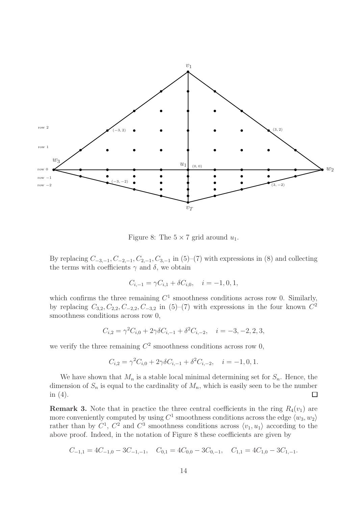

Figure 8: The  $5 \times 7$  grid around  $u_1$ .

By replacing  $C_{-3,-1}$ ,  $C_{-2,-1}$ ,  $C_{2,-1}$ ,  $C_{3,-1}$  in (5)–(7) with expressions in (8) and collecting the terms with coefficients  $\gamma$  and  $\delta$ , we obtain

$$
C_{i,-1} = \gamma C_{i,1} + \delta C_{i,0}, \quad i = -1, 0, 1,
$$

which confirms the three remaining  $C<sup>1</sup>$  smoothness conditions across row 0. Similarly, by replacing  $C_{3,2}, C_{2,2}, C_{-2,2}, C_{-3,2}$  in (5)–(7) with expressions in the four known  $C^2$ smoothness conditions across row 0,

$$
C_{i,2} = \gamma^2 C_{i,0} + 2\gamma \delta C_{i,-1} + \delta^2 C_{i,-2}, \quad i = -3, -2, 2, 3,
$$

we verify the three remaining  $C^2$  smoothness conditions across row 0,

$$
C_{i,2} = \gamma^2 C_{i,0} + 2\gamma \delta C_{i,-1} + \delta^2 C_{i,-2}, \quad i = -1, 0, 1.
$$

We have shown that  $M_n$  is a stable local minimal determining set for  $S_n$ . Hence, the dimension of  $S_n$  is equal to the cardinality of  $M_n$ , which is easily seen to be the number in  $(4)$ .  $\Box$ 

**Remark 3.** Note that in practice the three central coefficients in the ring  $R_4(v_1)$  are more conveniently computed by using  $C^1$  smoothness conditions across the edge  $\langle w_3, w_2 \rangle$ rather than by  $C^1$ ,  $C^2$  and  $C^3$  smoothness conditions across  $\langle v_1, u_1 \rangle$  according to the above proof. Indeed, in the notation of Figure 8 these coefficients are given by

$$
C_{-1,1} = 4C_{-1,0} - 3C_{-1,-1}, \quad C_{0,1} = 4C_{0,0} - 3C_{0,-1}, \quad C_{1,1} = 4C_{1,0} - 3C_{1,-1}.
$$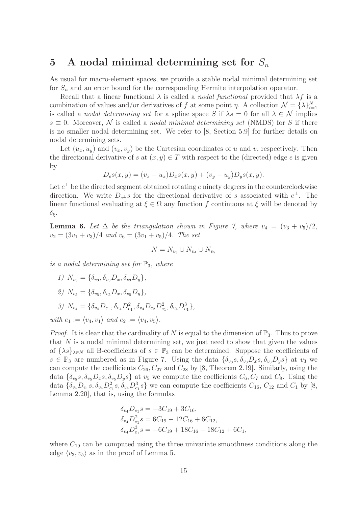#### 5 A nodal minimal determining set for  $S_n$

As usual for macro-element spaces, we provide a stable nodal minimal determining set for  $S_n$  and an error bound for the corresponding Hermite interpolation operator.

Recall that a linear functional  $\lambda$  is called a *nodal functional* provided that  $\lambda f$  is a combination of values and/or derivatives of f at some point  $\eta$ . A collection  $\mathcal{N} = \{\lambda\}_{i=1}^N$ is called a *nodal determining set* for a spline space S if  $\lambda s = 0$  for all  $\lambda \in \mathcal{N}$  implies  $s \equiv 0$ . Moreover, N is called a nodal minimal determining set (NMDS) for S if there is no smaller nodal determining set. We refer to [8, Section 5.9] for further details on nodal determining sets.

Let  $(u_x, u_y)$  and  $(v_x, v_y)$  be the Cartesian coordinates of u and v, respectively. Then the directional derivative of s at  $(x, y) \in T$  with respect to the (directed) edge e is given by

$$
D_e s(x, y) = (v_x - u_x) D_x s(x, y) + (v_y - u_y) D_y s(x, y).
$$

Let  $e^{\perp}$  be the directed segment obtained rotating e ninety degrees in the counterclockwise direction. We write  $D_{e^{\perp}}s$  for the directional derivative of s associated with  $e^{\perp}$ . The linear functional evaluating at  $\xi \in \Omega$  any function f continuous at  $\xi$  will be denoted by  $δ<sub>ε</sub>$ .

**Lemma 6.** Let  $\Delta$  be the triangulation shown in Figure 7, where  $v_4 = (v_3 + v_5)/2$ ,  $v_2 = (3v_1 + v_3)/4$  and  $v_6 = (3v_1 + v_5)/4$ . The set

$$
N = N_{v_3} \cup N_{v_4} \cup N_{v_5}
$$

is a nodal determining set for  $\mathbb{P}_3$ , where

- 1)  $N_{v_3} = {\delta_{v_3}, \delta_{v_3} D_x, \delta_{v_3} D_y},$
- 2)  $N_{v_5} = {\delta_{v_5}, \delta_{v_5} D_x, \delta_{v_5} D_y},$

$$
3) N_{v_4} = \{ \delta_{v_4} D_{e_1}, \delta_{v_4} D_{e_1}^2, \delta_{v_4} D_{e_2} D_{e_1}^2, \delta_{v_4} D_{e_1}^3 \},
$$

with  $e_1 := \langle v_4, v_1 \rangle$  and  $e_2 := \langle v_4, v_5 \rangle$ .

*Proof.* It is clear that the cardinality of N is equal to the dimension of  $\mathbb{P}_3$ . Thus to prove that  $N$  is a nodal minimal determining set, we just need to show that given the values of  $\{\lambda s\}_{\lambda \in N}$  all B-coefficients of  $s \in \mathbb{P}_3$  can be determined. Suppose the coefficients of  $s \in \mathbb{P}_3$  are numbered as in Figure 7. Using the data  $\{\delta_{v_3}s, \delta_{v_3}D_xs, \delta_{v_3}D_ys\}$  at  $v_3$  we can compute the coefficients  $C_{26}$ ,  $C_{27}$  and  $C_{28}$  by [8, Theorem 2.19]. Similarly, using the data  $\{\delta_{v_5}s, \delta_{v_5}D_x s, \delta_{v_5}D_y s\}$  at  $v_5$  we compute the coefficients  $C_6, C_7$  and  $C_8$ . Using the data  $\{\delta_{v_4}D_{e_1}s, \delta_{v_4}D_{e_1}^2s, \delta_{v_4}D_{e_1}^3s\}$  we can compute the coefficients  $C_{16}$ ,  $C_{12}$  and  $C_1$  by [8, Lemma 2.20], that is, using the formulas

$$
\delta_{v_4} D_{e_1} s = -3C_{19} + 3C_{16},
$$
  
\n
$$
\delta_{v_4} D_{e_1}^2 s = 6C_{19} - 12C_{16} + 6C_{12},
$$
  
\n
$$
\delta_{v_4} D_{e_1}^3 s = -6C_{19} + 18C_{16} - 18C_{12} + 6C_1,
$$

where  $C_{19}$  can be computed using the three univariate smoothness conditions along the edge  $\langle v_3, v_5 \rangle$  as in the proof of Lemma 5.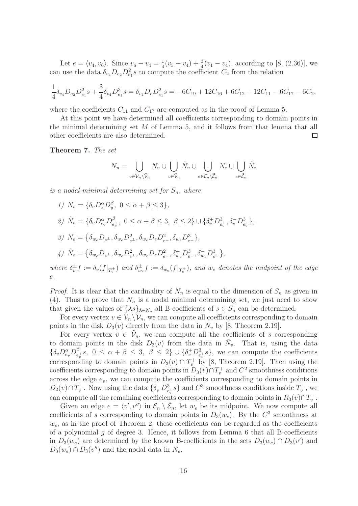Let  $e = \langle v_4, v_6 \rangle$ . Since  $v_6 - v_4 = \frac{1}{4}$  $\frac{1}{4}(v_5 - v_4) + \frac{3}{4}(v_1 - v_4)$ , according to [8, (2.36)], we can use the data  $\delta_{v_4} D_{e_2} D_{e_1}^2 s$  to compute the coefficient  $C_2$  from the relation

$$
\frac{1}{4}\delta_{v_4}D_{e_2}D_{e_1}^2s + \frac{3}{4}\delta_{v_4}D_{e_1}^3s = \delta_{v_4}D_eD_{e_1}^2s = -6C_{19} + 12C_{16} + 6C_{12} + 12C_{11} - 6C_{17} - 6C_2,
$$

where the coefficients  $C_{11}$  and  $C_{17}$  are computed as in the proof of Lemma 5.

At this point we have determined all coefficients corresponding to domain points in the minimal determining set  $M$  of Lemma 5, and it follows from that lemma that all other coefficients are also determined.  $\Box$ 

Theorem 7. The set

$$
N_n = \bigcup_{v \in \mathcal{V}_n \setminus \tilde{\mathcal{V}}_n} N_v \cup \bigcup_{v \in \tilde{\mathcal{V}}_n} \tilde{N}_v \cup \bigcup_{e \in \mathcal{E}_n \setminus \tilde{\mathcal{E}}_n} N_e \cup \bigcup_{e \in \tilde{\mathcal{E}}_n} \tilde{N}_e
$$

is a nodal minimal determining set for  $S_n$ , where

1)  $N_v = \{ \delta_v D_x^{\alpha} D_y^{\beta}, 0 \le \alpha + \beta \le 3 \},$ 2)  $\tilde{N}_v = \{ \delta_v D_{e_v}^{\alpha} D_{e_i}^{\beta}$  $e_v^{\beta}$ ,  $0 \leq \alpha + \beta \leq 3$ ,  $\beta \leq 2$   $\cup$   $\{\delta_v^+ D_{e_v^{\perp}}^3, \delta_v^- D_{e_v^{\perp}}^3\}$ , 3)  $N_e = \left\{ \delta_{w_e} D_{e^{\perp}}, \delta_{w_e} D_{e^{\perp}}^2, \delta_{w_e} D_e D_{e^{\perp}}^2, \delta_{w_e} D_{e^{\perp}}^3 \right\},\$  $\label{eq:4.1} \begin{split} \textit{4)}\ \ \tilde{N}_e = \big\{ \delta_{w_e} D_{e^\perp}, \delta_{w_e} D_{e^\perp}^2, \delta_{w_e} D_e D_{e^\perp}^2, \delta_{w_e}^+ D_{e^\perp}^3, \delta_{w_e}^- D_{e^\perp}^3 \big\}, \end{split}$ 

where  $\delta_v^{\pm} f := \delta_v(f|_{T_v^{\pm}})$  and  $\delta_{w_e}^{\pm} f := \delta_{w_e}(f|_{T_e^{\pm}})$ , and  $w_e$  denotes the midpoint of the edge e.

*Proof.* It is clear that the cardinality of  $N_n$  is equal to the dimension of  $S_n$  as given in (4). Thus to prove that  $N_n$  is a nodal minimal determining set, we just need to show that given the values of  $\{\lambda s\}_{\lambda \in N_n}$  all B-coefficients of  $s \in S_n$  can be determined.

For every vertex  $v \in V_n \setminus V_n$ , we can compute all coefficients corresponding to domain points in the disk  $D_3(v)$  directly from the data in  $N_v$  by [8, Theorem 2.19].

For every vertex  $v \in \tilde{\mathcal{V}}_n$ , we can compute all the coefficients of s corresponding to domain points in the disk  $D_3(v)$  from the data in  $\tilde{N}_v$ . That is, using the data  $\{ \delta_v D_{e_v}^{\alpha} D_{e_i}^{\beta}$  $e_e^{\beta}$ ,  $0 \leq \alpha + \beta \leq 3$ ,  $\beta \leq 2$   $\cup$   $\{\delta_v^+ D_{e_v^+}^3 s\}$ , we can compute the coefficients corresponding to domain points in  $D_3(v) \cap T_v^+$  by [8, Theorem 2.19]. Then using the coefficients corresponding to domain points in  $D_3(v) \cap T_v^+$  and  $C^2$  smoothness conditions across the edge  $e_v$ , we can compute the coefficients corresponding to domain points in  $D_2(v) \cap T_v^-$ . Now using the data  $\{\delta_v^- D_{e_v^{\perp}}^3 s\}$  and  $C^3$  smoothness conditions inside  $T_v^-$ , we can compute all the remaining coefficients corresponding to domain points in  $R_3(v) \cap T_v^-$ .

Given an edge  $e = \langle v', v'' \rangle$  in  $\mathcal{E}_n \setminus \tilde{\mathcal{E}}_n$ , let  $w_e$  be its midpoint. We now compute all coefficients of s corresponding to domain points in  $D_3(w_e)$ . By the  $C^3$  smoothness at  $w_e$ , as in the proof of Theorem 2, these coefficients can be regarded as the coefficients of a polynomial g of degree 3. Hence, it follows from Lemma 6 that all B-coefficients in  $D_3(w_e)$  are determined by the known B-coefficients in the sets  $D_3(w_e) \cap D_3(v')$  and  $D_3(w_e) \cap D_3(v'')$  and the nodal data in  $N_e$ .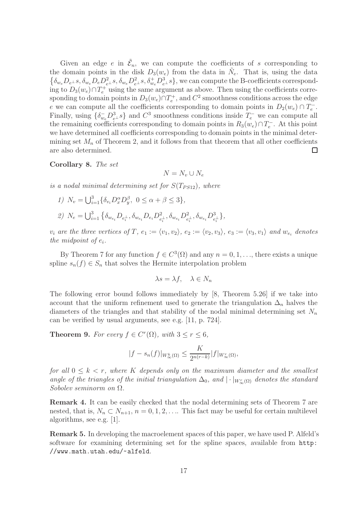Given an edge e in  $\tilde{\mathcal{E}}_n$ , we can compute the coefficients of s corresponding to the domain points in the disk  $D_3(w_e)$  from the data in  $\tilde{N}_e$ . That is, using the data  $\{\delta_{w_e}D_{e^{\perp}}s, \delta_{w_e}D_eD_{e^{\perp}}^2s, \delta_{w_e}D_{e^{\perp}}^2s, \delta_{w_e}^+D_{e^{\perp}}^3s\}$ , we can compute the B-coefficients corresponding to  $D_3(w_e) \cap T_e^+$  using the same argument as above. Then using the coefficients corresponding to domain points in  $D_3(w_e) \cap T_e^+$ , and  $C^2$  smoothness conditions across the edge e we can compute all the coefficients corresponding to domain points in  $D_2(w_e) \cap T_e^-$ . Finally, using  $\{\delta_{w_e}^-\bar{D}_{e^\perp}^3\}$  and  $C^3$  smoothness conditions inside  $T_e^-$  we can compute all the remaining coefficients corresponding to domain points in  $R_3(w_e) \cap T_e^-$ . At this point we have determined all coefficients corresponding to domain points in the minimal determining set  $M_n$  of Theorem 2, and it follows from that theorem that all other coefficients are also determined.  $\Box$ 

#### Corollary 8. The set

$$
N = N_v \cup N_e
$$

is a nodal minimal determining set for  $S(T_{PS12})$ , where

1)  $N_v = \bigcup_{i=1}^3 \{ \delta_{v_i} D_x^{\alpha} D_y^{\beta}, \ 0 \le \alpha + \beta \le 3 \},\$  $\label{eq:2} \begin{array}{ll} \mathcal{Q}) \ \ N_e = \bigcup_{i=1}^3 \left\{ \delta_{w_{e_i}} D_{e_i^\perp}, \delta_{w_{e_i}} D_{e_i} D_{e_i^\perp}^2, \delta_{w_{e_i}} D_{e_i^\perp}^2, \delta_{w_{e_i}} D_{e_i^\perp}^3 \right\}, \end{array}$ 

 $v_i$  are the three vertices of T,  $e_1 := \langle v_1, v_2 \rangle$ ,  $e_2 := \langle v_2, v_3 \rangle$ ,  $e_3 := \langle v_3, v_1 \rangle$  and  $w_{e_i}$  denotes the midpoint of  $e_i$ .

By Theorem 7 for any function  $f \in C^3(\Omega)$  and any  $n = 0, 1, \ldots$ , there exists a unique spline  $s_n(f) \in S_n$  that solves the Hermite interpolation problem

$$
\lambda s = \lambda f, \quad \lambda \in N_n
$$

The following error bound follows immediately by [8, Theorem 5.26] if we take into account that the uniform refinement used to generate the triangulation  $\Delta_n$  halves the diameters of the triangles and that stability of the nodal minimal determining set  $N_n$ can be verified by usual arguments, see e.g. [11, p. 724].

**Theorem 9.** For every  $f \in C^r(\Omega)$ , with  $3 \le r \le 6$ ,

$$
|f - s_n(f)|_{W^k_{\infty}(\Omega)} \le \frac{K}{2^{n(r-k)}} |f|_{W^r_{\infty}(\Omega)},
$$

for all  $0 \leq k < r$ , where K depends only on the maximum diameter and the smallest angle of the triangles of the initial triangulation  $\Delta_0$ , and  $|\cdot|_{W_{\infty}^r(\Omega)}$  denotes the standard Sobolev seminorm on Ω.

Remark 4. It can be easily checked that the nodal determining sets of Theorem 7 are nested, that is,  $N_n \subset N_{n+1}$ ,  $n = 0, 1, 2, \ldots$  This fact may be useful for certain multilevel algorithms, see e.g. [1].

Remark 5. In developing the macroelement spaces of this paper, we have used P. Alfeld's software for examining determining set for the spline spaces, available from http: //www.math.utah.edu/~alfeld.